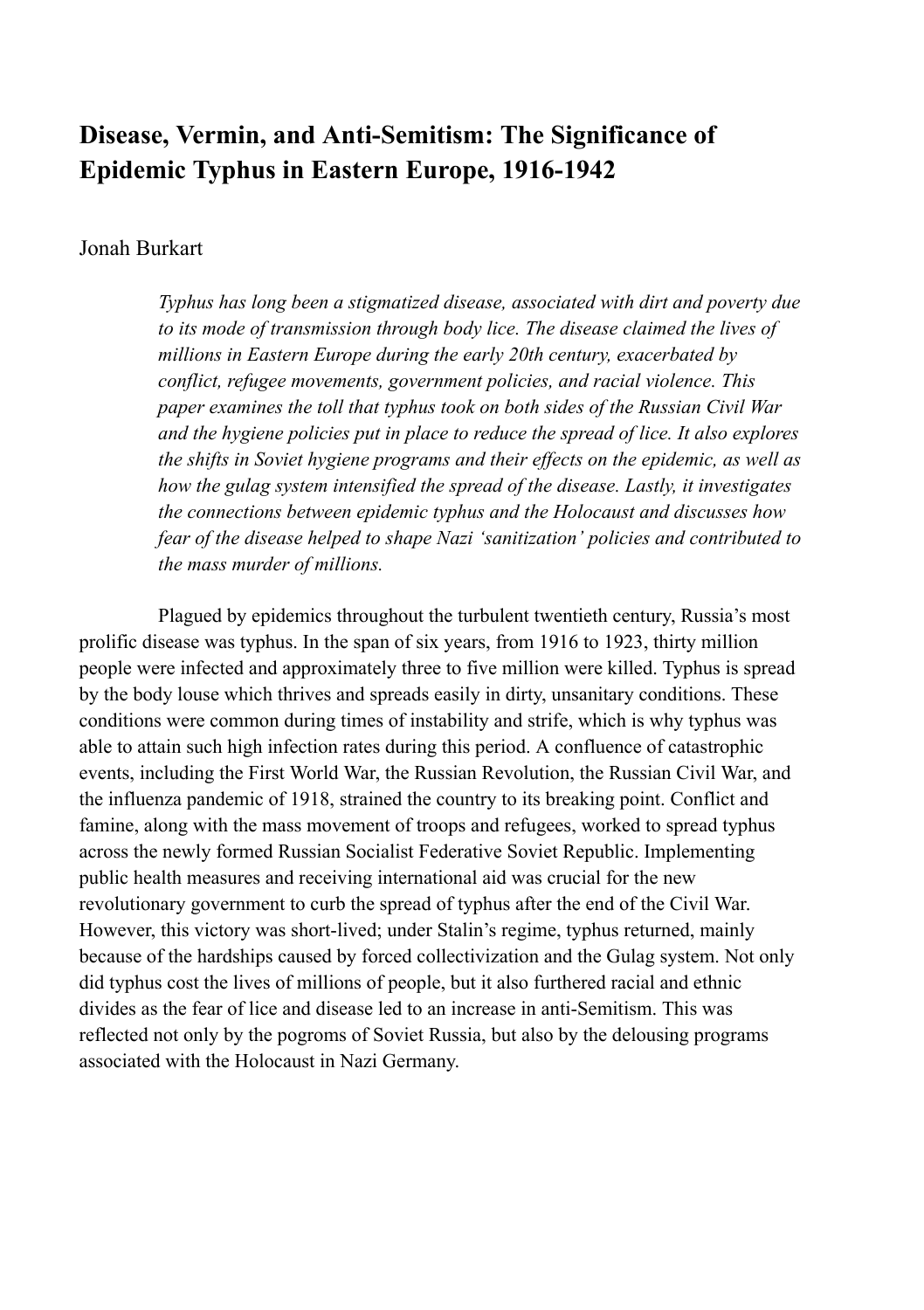# **Disease, Vermin, and Anti-Semitism: The Significance of Epidemic Typhus in Eastern Europe, 1916-1942**

### Jonah Burkart

*Typhus has long been a stigmatized disease, associated with dirt and poverty due to its mode of transmission through body lice. The disease claimed the lives of millions in Eastern Europe during the early 20th century, exacerbated by conflict, refugee movements, government policies, and racial violence. This paper examines the toll that typhus took on both sides of the Russian Civil War and the hygiene policies put in place to reduce the spread of lice. It also explores the shifts in Soviet hygiene programs and their effects on the epidemic, as well as how the gulag system intensified the spread of the disease. Lastly, it investigates the connections between epidemic typhus and the Holocaust and discusses how fear of the disease helped to shape Nazi 'sanitization' policies and contributed to the mass murder of millions.*

Plagued by epidemics throughout the turbulent twentieth century, Russia's most prolific disease was typhus. In the span of six years, from 1916 to 1923, thirty million people were infected and approximately three to five million were killed. Typhus is spread by the body louse which thrives and spreads easily in dirty, unsanitary conditions. These conditions were common during times of instability and strife, which is why typhus was able to attain such high infection rates during this period. A confluence of catastrophic events, including the First World War, the Russian Revolution, the Russian Civil War, and the influenza pandemic of 1918, strained the country to its breaking point. Conflict and famine, along with the mass movement of troops and refugees, worked to spread typhus across the newly formed Russian Socialist Federative Soviet Republic. Implementing public health measures and receiving international aid was crucial for the new revolutionary government to curb the spread of typhus after the end of the Civil War. However, this victory was short-lived; under Stalin's regime, typhus returned, mainly because of the hardships caused by forced collectivization and the Gulag system. Not only did typhus cost the lives of millions of people, but it also furthered racial and ethnic divides as the fear of lice and disease led to an increase in anti-Semitism. This was reflected not only by the pogroms of Soviet Russia, but also by the delousing programs associated with the Holocaust in Nazi Germany.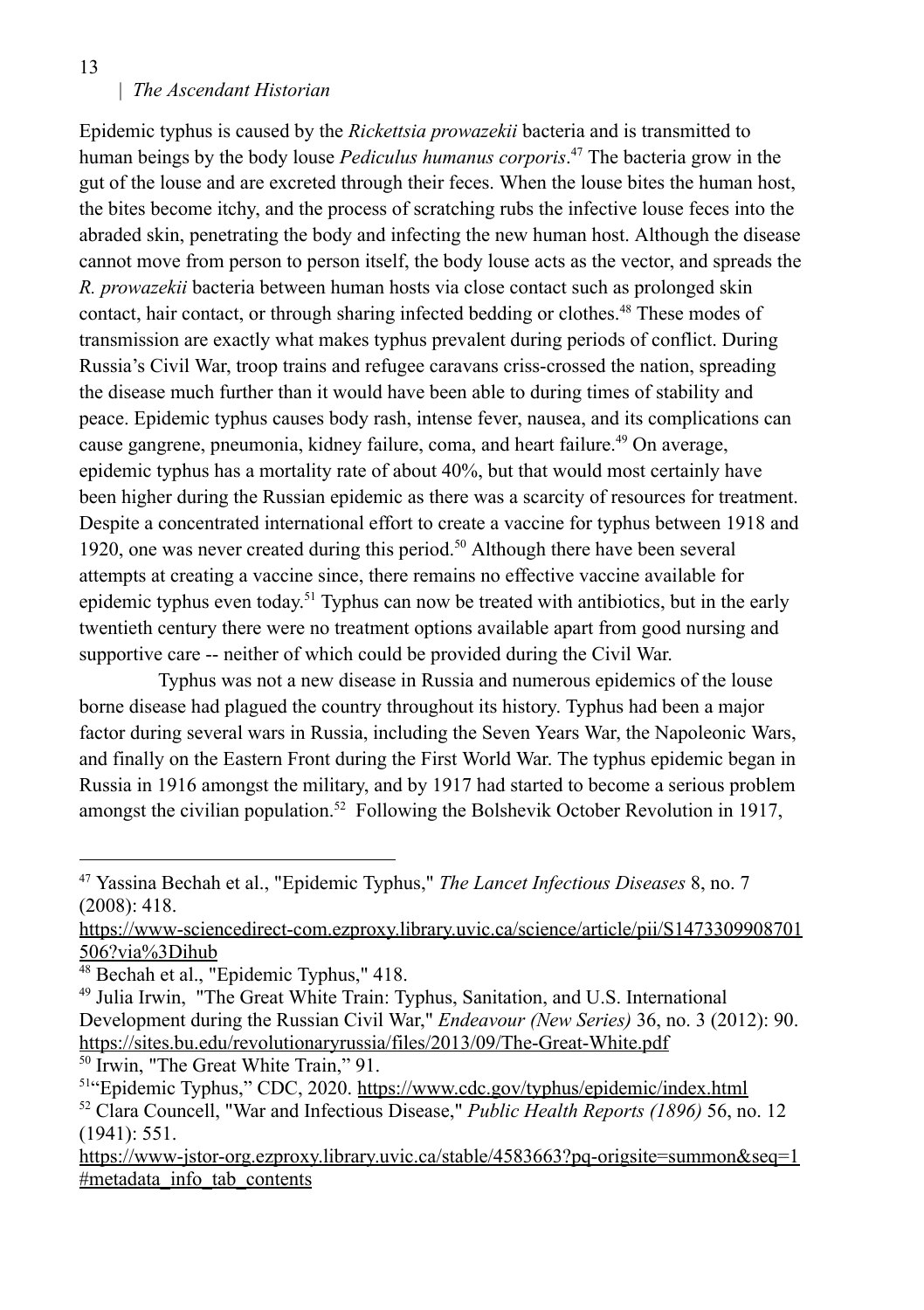13

#### | *The Ascendant Historian*

Epidemic typhus is caused by the *Rickettsia prowazekii* bacteria and is transmitted to human beings by the body louse *Pediculus humanus corporis*. <sup>47</sup> The bacteria grow in the gut of the louse and are excreted through their feces. When the louse bites the human host, the bites become itchy, and the process of scratching rubs the infective louse feces into the abraded skin, penetrating the body and infecting the new human host. Although the disease cannot move from person to person itself, the body louse acts as the vector, and spreads the *R. prowazekii* bacteria between human hosts via close contact such as prolonged skin contact, hair contact, or through sharing infected bedding or clothes.<sup>48</sup> These modes of transmission are exactly what makes typhus prevalent during periods of conflict. During Russia's Civil War, troop trains and refugee caravans criss-crossed the nation, spreading the disease much further than it would have been able to during times of stability and peace. Epidemic typhus causes body rash, intense fever, nausea, and its complications can cause gangrene, pneumonia, kidney failure, coma, and heart failure.<sup>49</sup> On average, epidemic typhus has a mortality rate of about 40%, but that would most certainly have been higher during the Russian epidemic as there was a scarcity of resources for treatment. Despite a concentrated international effort to create a vaccine for typhus between 1918 and 1920, one was never created during this period.<sup>50</sup> Although there have been several attempts at creating a vaccine since, there remains no effective vaccine available for epidemic typhus even today.<sup>51</sup> Typhus can now be treated with antibiotics, but in the early twentieth century there were no treatment options available apart from good nursing and supportive care -- neither of which could be provided during the Civil War.

Typhus was not a new disease in Russia and numerous epidemics of the louse borne disease had plagued the country throughout its history. Typhus had been a major factor during several wars in Russia, including the Seven Years War, the Napoleonic Wars, and finally on the Eastern Front during the First World War. The typhus epidemic began in Russia in 1916 amongst the military, and by 1917 had started to become a serious problem amongst the civilian population.<sup>52</sup> Following the Bolshevik October Revolution in 1917,

50 Irwin, "The Great White Train," 91.

<sup>47</sup> Yassina Bechah et al., "Epidemic Typhus," *The Lancet Infectious Diseases* 8, no. 7 (2008): 418.

https://www-sciencedirect-com.ezproxy.library.uvic.ca/science/article/pii/S1473309908701 506?via%3Dihub

 $48$  Bechah et al., "Epidemic Typhus," 418.

<sup>49</sup> Julia Irwin, "The Great White Train: Typhus, Sanitation, and U.S. International Development during the Russian Civil War," *Endeavour (New Series)* 36, no. 3 (2012): 90. https://sites.bu.edu/revolutionaryrussia/files/2013/09/The-Great-White.pdf

<sup>52</sup> Clara Councell, "War and Infectious Disease," *Public Health Reports (1896)* 56, no. 12 (1941): 551. <sup>51</sup>"Epidemic Typhus," CDC, 2020. https://www.cdc.gov/typhus/epidemic/index.html

https://www-jstor-org.ezproxy.library.uvic.ca/stable/4583663?pq-origsite=summon&seq=1 #metadata\_info\_tab\_contents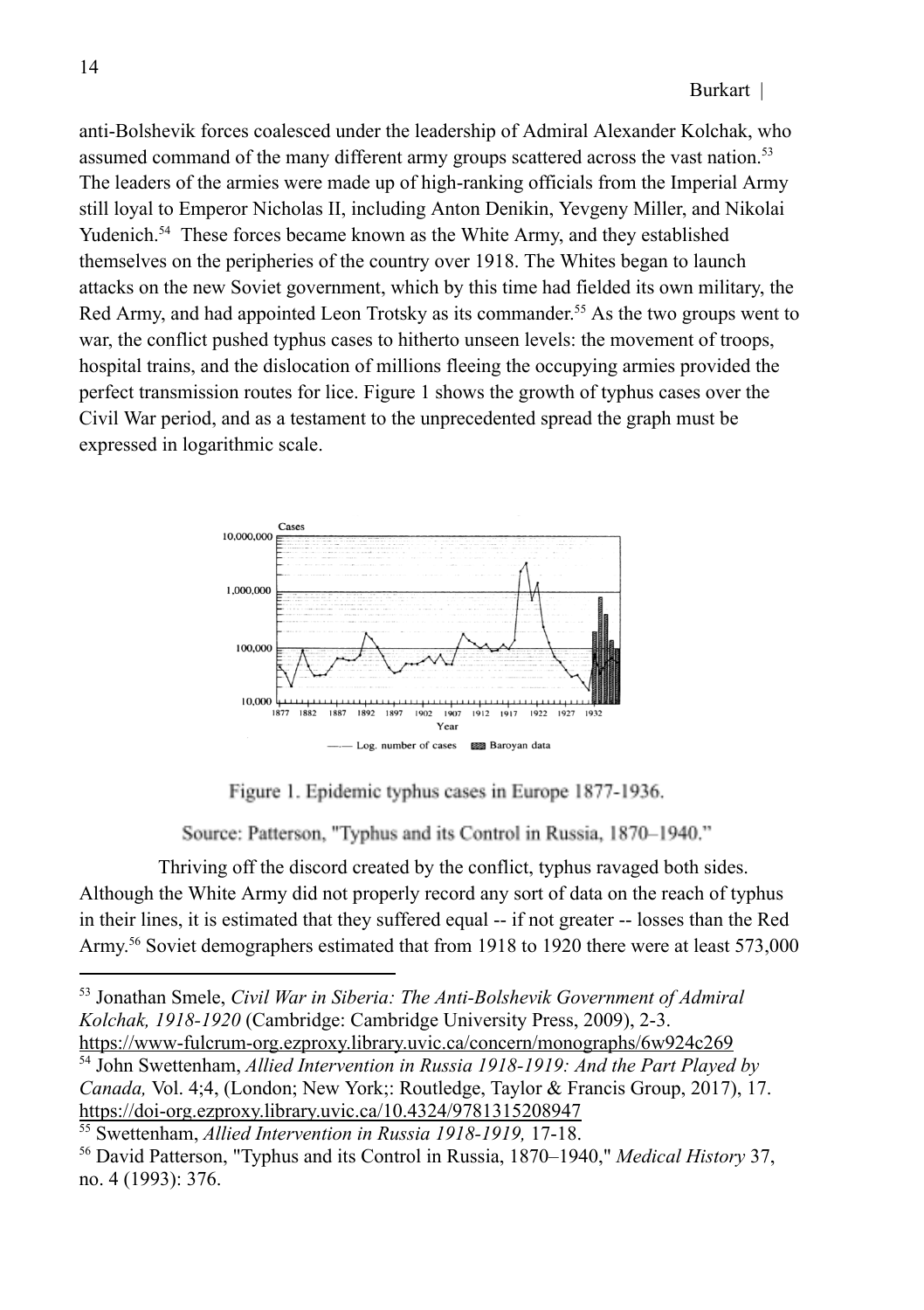anti-Bolshevik forces coalesced under the leadership of Admiral Alexander Kolchak, who assumed command of the many different army groups scattered across the vast nation.<sup>53</sup> The leaders of the armies were made up of high-ranking officials from the Imperial Army still loyal to Emperor Nicholas II, including Anton Denikin, Yevgeny Miller, and Nikolai Yudenich.<sup>54</sup> These forces became known as the White Army, and they established themselves on the peripheries of the country over 1918. The Whites began to launch attacks on the new Soviet government, which by this time had fielded its own military, the Red Army, and had appointed Leon Trotsky as its commander. <sup>55</sup> As the two groups went to war, the conflict pushed typhus cases to hitherto unseen levels: the movement of troops, hospital trains, and the dislocation of millions fleeing the occupying armies provided the perfect transmission routes for lice. Figure 1 shows the growth of typhus cases over the Civil War period, and as a testament to the unprecedented spread the graph must be expressed in logarithmic scale.



Figure 1. Epidemic typhus cases in Europe 1877-1936.

Source: Patterson, "Typhus and its Control in Russia, 1870-1940."

Thriving off the discord created by the conflict, typhus ravaged both sides. Although the White Army did not properly record any sort of data on the reach of typhus in their lines, it is estimated that they suffered equal -- if not greater -- losses than the Red Army.<sup>56</sup> Soviet demographers estimated that from 1918 to 1920 there were at least 573,000

<sup>54</sup> John Swettenham, *Allied Intervention in Russia 1918-1919: And the Part Played by Canada,* Vol. 4;4, (London; New York;: Routledge, Taylor & Francis Group, 2017), 17. https://doi-org.ezproxy.library.uvic.ca/10.4324/9781315208947 https://www-fulcrum-org.ezproxy.library.uvic.ca/concern/monographs/6w924c269

<sup>53</sup> Jonathan Smele, *Civil War in Siberia: The Anti-Bolshevik Government of Admiral Kolchak, 1918-1920* (Cambridge: Cambridge University Press, 2009), 2-3.

<sup>55</sup> Swettenham, *Allied Intervention in Russia 1918-1919,* 17-18.

<sup>56</sup> David Patterson, "Typhus and its Control in Russia, 1870–1940," *Medical History* 37, no. 4 (1993): 376.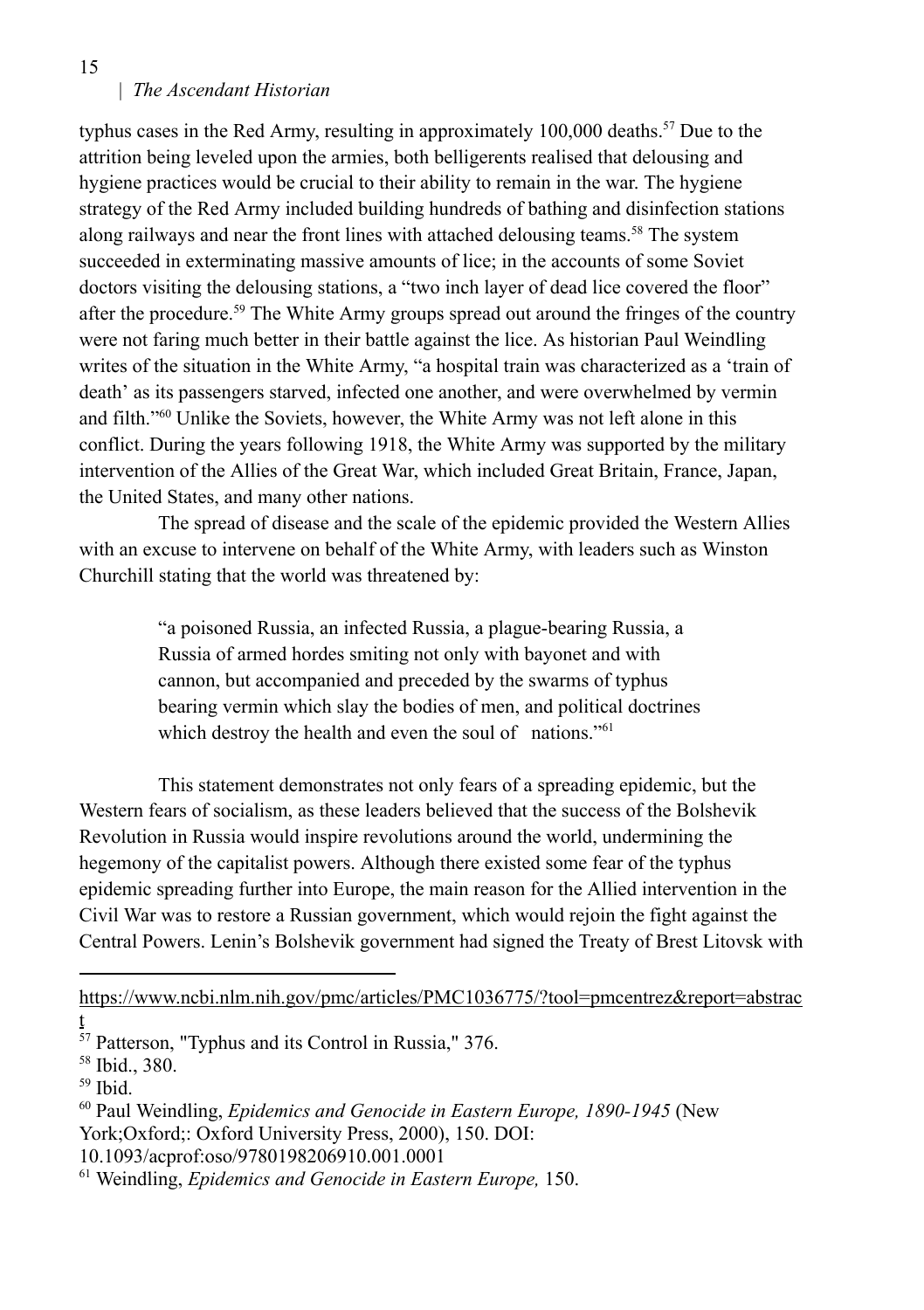| *The Ascendant Historian*

typhus cases in the Red Army, resulting in approximately 100,000 deaths.<sup>57</sup> Due to the attrition being leveled upon the armies, both belligerents realised that delousing and hygiene practices would be crucial to their ability to remain in the war. The hygiene strategy of the Red Army included building hundreds of bathing and disinfection stations along railways and near the front lines with attached delousing teams.<sup>58</sup> The system succeeded in exterminating massive amounts of lice; in the accounts of some Soviet doctors visiting the delousing stations, a "two inch layer of dead lice covered the floor" after the procedure.<sup>59</sup> The White Army groups spread out around the fringes of the country were not faring much better in their battle against the lice. As historian Paul Weindling writes of the situation in the White Army, "a hospital train was characterized as a 'train of death' as its passengers starved, infected one another, and were overwhelmed by vermin and filth."<sup>60</sup> Unlike the Soviets, however, the White Army was not left alone in this conflict. During the years following 1918, the White Army was supported by the military intervention of the Allies of the Great War, which included Great Britain, France, Japan, the United States, and many other nations.

The spread of disease and the scale of the epidemic provided the Western Allies with an excuse to intervene on behalf of the White Army, with leaders such as Winston Churchill stating that the world was threatened by:

> "a poisoned Russia, an infected Russia, a plague-bearing Russia, a Russia of armed hordes smiting not only with bayonet and with cannon, but accompanied and preceded by the swarms of typhus bearing vermin which slay the bodies of men, and political doctrines which destroy the health and even the soul of nations."<sup>61</sup>

This statement demonstrates not only fears of a spreading epidemic, but the Western fears of socialism, as these leaders believed that the success of the Bolshevik Revolution in Russia would inspire revolutions around the world, undermining the hegemony of the capitalist powers. Although there existed some fear of the typhus epidemic spreading further into Europe, the main reason for the Allied intervention in the Civil War was to restore a Russian government, which would rejoin the fight against the Central Powers. Lenin's Bolshevik government had signed the Treaty of Brest Litovsk with

https://www.ncbi.nlm.nih.gov/pmc/articles/PMC1036775/?tool=pmcentrez&report=abstrac

15

t

<sup>&</sup>lt;sup>57</sup> Patterson, "Typhus and its Control in Russia," 376.

<sup>58</sup> Ibid., 380.

<sup>59</sup> Ibid.

<sup>60</sup> Paul Weindling, *Epidemics and Genocide in Eastern Europe, 1890-1945* (New York;Oxford;: Oxford University Press, 2000), 150. DOI:

<sup>10.1093/</sup>acprof:oso/9780198206910.001.0001

<sup>61</sup> Weindling, *Epidemics and Genocide in Eastern Europe,* 150.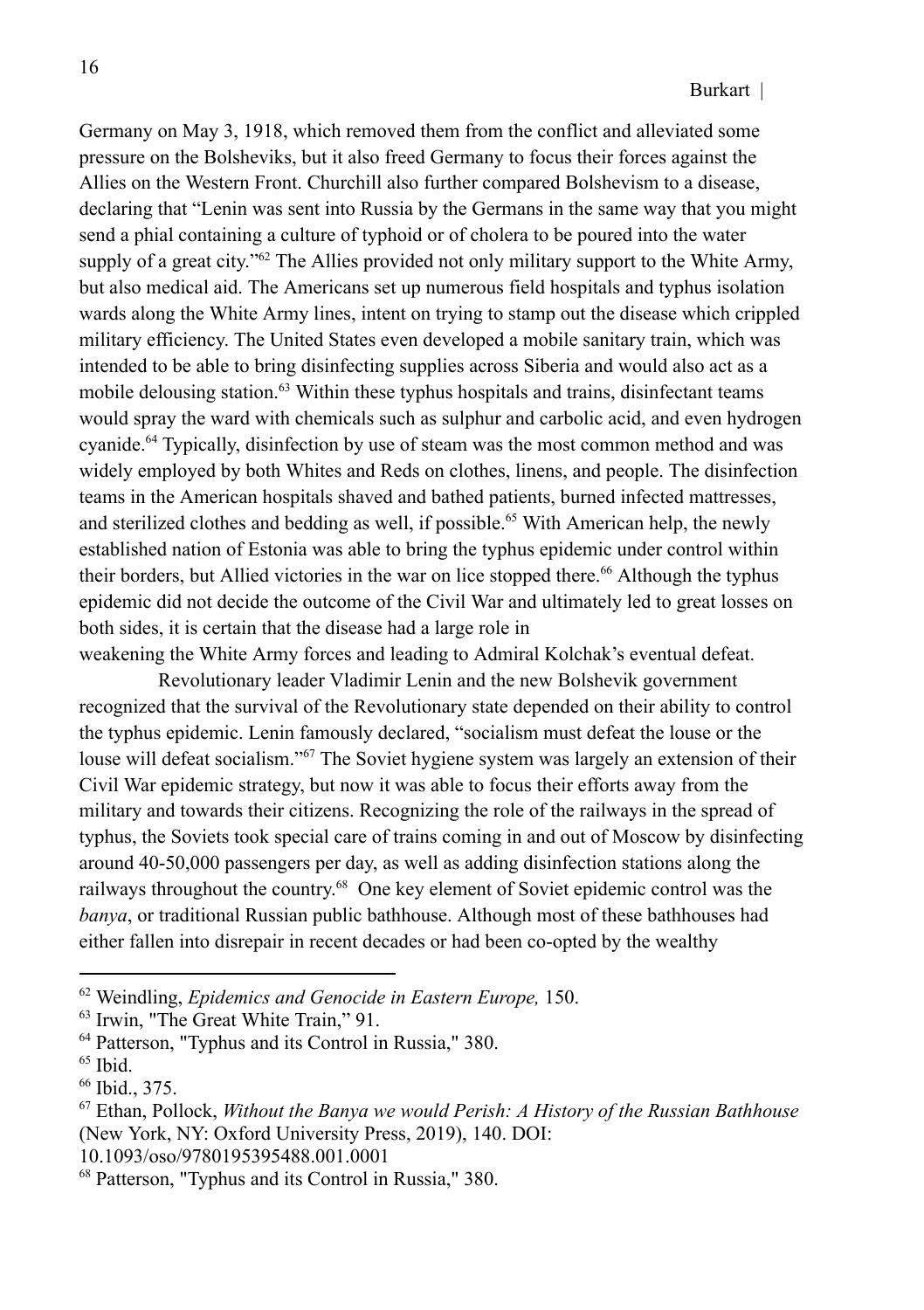Germany on May 3, 1918, which removed them from the conflict and alleviated some pressure on the Bolsheviks, but it also freed Germany to focus their forces against the Allies on the Western Front. Churchill also further compared Bolshevism to a disease, declaring that "Lenin was sent into Russia by the Germans in the same way that you might send a phial containing a culture of typhoid or of cholera to be poured into the water supply of a great city."<sup>62</sup> The Allies provided not only military support to the White Army, but also medical aid. The Americans set up numerous field hospitals and typhus isolation wards along the White Army lines, intent on trying to stamp out the disease which crippled military efficiency. The United States even developed a mobile sanitary train, which was intended to be able to bring disinfecting supplies across Siberia and would also act as a mobile delousing station.<sup>63</sup> Within these typhus hospitals and trains, disinfectant teams would spray the ward with chemicals such as sulphur and carbolic acid, and even hydrogen cyanide.<sup>64</sup> Typically, disinfection by use of steam was the most common method and was widely employed by both Whites and Reds on clothes, linens, and people. The disinfection teams in the American hospitals shaved and bathed patients, burned infected mattresses, and sterilized clothes and bedding as well, if possible.<sup>65</sup> With American help, the newly established nation of Estonia was able to bring the typhus epidemic under control within their borders, but Allied victories in the war on lice stopped there.<sup>66</sup> Although the typhus epidemic did not decide the outcome of the Civil War and ultimately led to great losses on both sides, it is certain that the disease had a large role in

weakening the White Army forces and leading to Admiral Kolchak's eventual defeat.

Revolutionary leader Vladimir Lenin and the new Bolshevik government recognized that the survival of the Revolutionary state depended on their ability to control the typhus epidemic. Lenin famously declared, "socialism must defeat the louse or the louse will defeat socialism."<sup>67</sup> The Soviet hygiene system was largely an extension of their Civil War epidemic strategy, but now it was able to focus their efforts away from the military and towards their citizens. Recognizing the role of the railways in the spread of typhus, the Soviets took special care of trains coming in and out of Moscow by disinfecting around 40-50,000 passengers per day, as well as adding disinfection stations along the railways throughout the country.<sup>68</sup> One key element of Soviet epidemic control was the *banya*, or traditional Russian public bathhouse. Although most of these bathhouses had either fallen into disrepair in recent decades or had been co-opted by the wealthy

<sup>62</sup> Weindling, *Epidemics and Genocide in Eastern Europe,* 150.

<sup>63</sup> Irwin, "The Great White Train," 91.

<sup>64</sup> Patterson, "Typhus and its Control in Russia," 380.

<sup>65</sup> Ibid.

<sup>66</sup> Ibid., 375.

<sup>67</sup> Ethan, Pollock, *Without the Banya we would Perish: A History of the Russian Bathhouse* (New York, NY: Oxford University Press, 2019), 140. DOI:

<sup>10.1093/</sup>oso/9780195395488.001.0001

<sup>68</sup> Patterson, "Typhus and its Control in Russia," 380.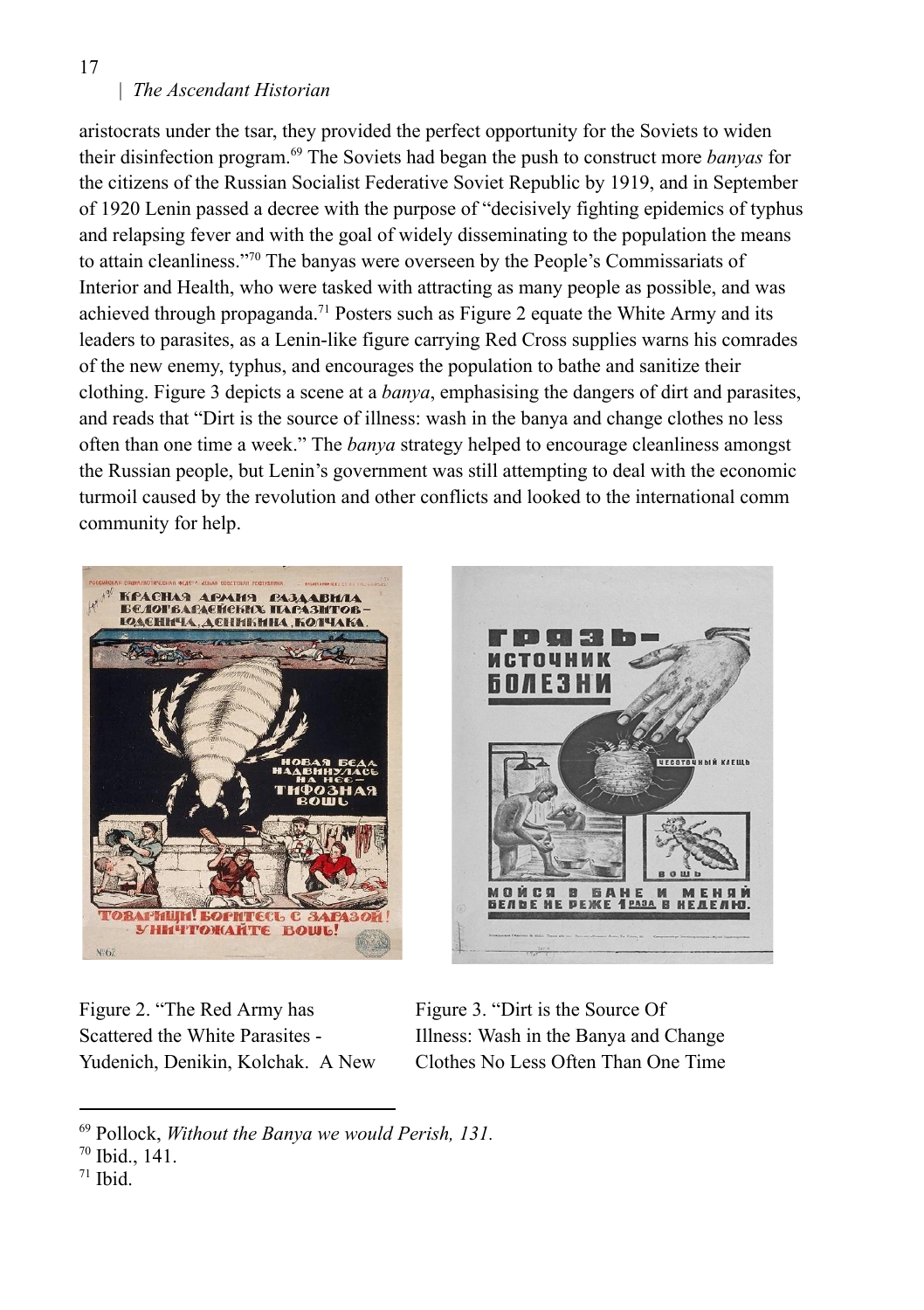# | *The Ascendant Historian*

aristocrats under the tsar, they provided the perfect opportunity for the Soviets to widen their disinfection program.<sup>69</sup> The Soviets had began the push to construct more *banyas* for the citizens of the Russian Socialist Federative Soviet Republic by 1919, and in September of 1920 Lenin passed a decree with the purpose of "decisively fighting epidemics of typhus and relapsing fever and with the goal of widely disseminating to the population the means to attain cleanliness."<sup>70</sup> The banyas were overseen by the People's Commissariats of Interior and Health, who were tasked with attracting as many people as possible, and was achieved through propaganda.<sup>71</sup> Posters such as Figure 2 equate the White Army and its leaders to parasites, as a Lenin-like figure carrying Red Cross supplies warns his comrades of the new enemy, typhus, and encourages the population to bathe and sanitize their clothing. Figure 3 depicts a scene at a *banya*, emphasising the dangers of dirt and parasites, and reads that "Dirt is the source of illness: wash in the banya and change clothes no less often than one time a week." The *banya* strategy helped to encourage cleanliness amongst the Russian people, but Lenin's government was still attempting to deal with the economic turmoil caused by the revolution and other conflicts and looked to the international comm community for help.





Figure 2. "The Red Army has Scattered the White Parasites - Yudenich, Denikin, Kolchak. A New

Figure 3. "Dirt is the Source Of Illness: Wash in the Banya and Change Clothes No Less Often Than One Time

17

<sup>69</sup> Pollock, *Without the Banya we would Perish, 131.*

<sup>70</sup> Ibid., 141.

<sup>71</sup> Ibid.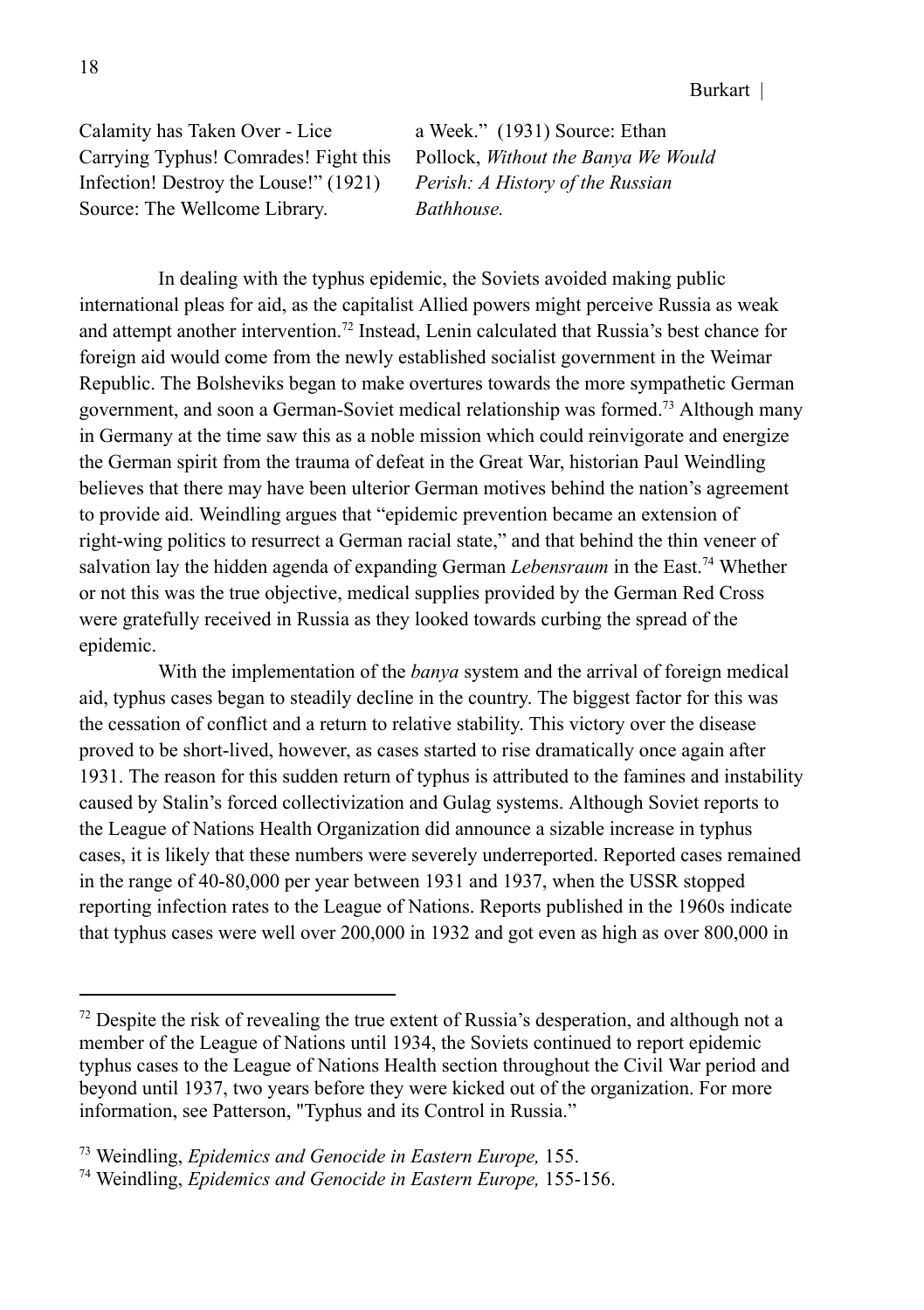Calamity has Taken Over - Lice Carrying Typhus! Comrades! Fight this Infection! Destroy the Louse!" (1921) Source: The Wellcome Library.

a Week." (1931) Source: Ethan Pollock, *Without the Banya We Would Perish: A History of the Russian Bathhouse.*

In dealing with the typhus epidemic, the Soviets avoided making public international pleas for aid, as the capitalist Allied powers might perceive Russia as weak and attempt another intervention.<sup>72</sup> Instead, Lenin calculated that Russia's best chance for foreign aid would come from the newly established socialist government in the Weimar Republic. The Bolsheviks began to make overtures towards the more sympathetic German government, and soon a German-Soviet medical relationship was formed.<sup>73</sup> Although many in Germany at the time saw this as a noble mission which could reinvigorate and energize the German spirit from the trauma of defeat in the Great War, historian Paul Weindling believes that there may have been ulterior German motives behind the nation's agreement to provide aid. Weindling argues that "epidemic prevention became an extension of right-wing politics to resurrect a German racial state," and that behind the thin veneer of salvation lay the hidden agenda of expanding German *Lebensraum* in the East.<sup>74</sup> Whether or not this was the true objective, medical supplies provided by the German Red Cross were gratefully received in Russia as they looked towards curbing the spread of the epidemic.

With the implementation of the *banya* system and the arrival of foreign medical aid, typhus cases began to steadily decline in the country. The biggest factor for this was the cessation of conflict and a return to relative stability. This victory over the disease proved to be short-lived, however, as cases started to rise dramatically once again after 1931. The reason for this sudden return of typhus is attributed to the famines and instability caused by Stalin's forced collectivization and Gulag systems. Although Soviet reports to the League of Nations Health Organization did announce a sizable increase in typhus cases, it is likely that these numbers were severely underreported. Reported cases remained in the range of 40-80,000 per year between 1931 and 1937, when the USSR stopped reporting infection rates to the League of Nations. Reports published in the 1960s indicate that typhus cases were well over 200,000 in 1932 and got even as high as over 800,000 in

 $72$  Despite the risk of revealing the true extent of Russia's desperation, and although not a member of the League of Nations until 1934, the Soviets continued to report epidemic typhus cases to the League of Nations Health section throughout the Civil War period and beyond until 1937, two years before they were kicked out of the organization. For more information, see Patterson, "Typhus and its Control in Russia."

<sup>73</sup> Weindling, *Epidemics and Genocide in Eastern Europe,* 155.

<sup>74</sup> Weindling, *Epidemics and Genocide in Eastern Europe,* 155-156.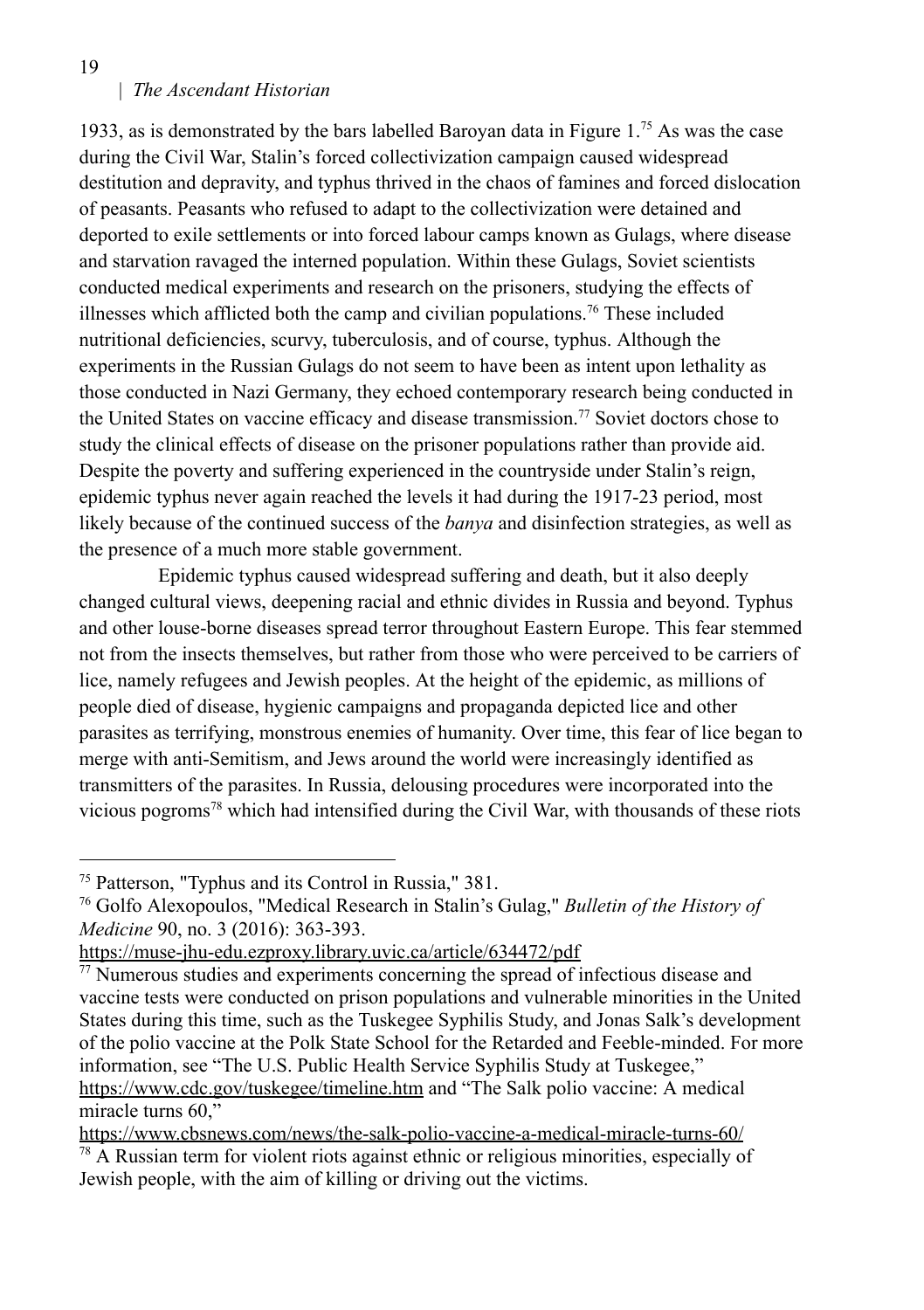| *The Ascendant Historian*

1933, as is demonstrated by the bars labelled Baroyan data in Figure  $1^{75}$  As was the case during the Civil War, Stalin's forced collectivization campaign caused widespread destitution and depravity, and typhus thrived in the chaos of famines and forced dislocation of peasants. Peasants who refused to adapt to the collectivization were detained and deported to exile settlements or into forced labour camps known as Gulags, where disease and starvation ravaged the interned population. Within these Gulags, Soviet scientists conducted medical experiments and research on the prisoners, studying the effects of illnesses which afflicted both the camp and civilian populations.<sup>76</sup> These included nutritional deficiencies, scurvy, tuberculosis, and of course, typhus. Although the experiments in the Russian Gulags do not seem to have been as intent upon lethality as those conducted in Nazi Germany, they echoed contemporary research being conducted in the United States on vaccine efficacy and disease transmission.<sup>77</sup> Soviet doctors chose to study the clinical effects of disease on the prisoner populations rather than provide aid. Despite the poverty and suffering experienced in the countryside under Stalin's reign, epidemic typhus never again reached the levels it had during the 1917-23 period, most likely because of the continued success of the *banya* and disinfection strategies, as well as the presence of a much more stable government.

Epidemic typhus caused widespread suffering and death, but it also deeply changed cultural views, deepening racial and ethnic divides in Russia and beyond. Typhus and other louse-borne diseases spread terror throughout Eastern Europe. This fear stemmed not from the insects themselves, but rather from those who were perceived to be carriers of lice, namely refugees and Jewish peoples. At the height of the epidemic, as millions of people died of disease, hygienic campaigns and propaganda depicted lice and other parasites as terrifying, monstrous enemies of humanity. Over time, this fear of lice began to merge with anti-Semitism, and Jews around the world were increasingly identified as transmitters of the parasites. In Russia, delousing procedures were incorporated into the vicious pogroms<sup>78</sup> which had intensified during the Civil War, with thousands of these riots

19

<sup>75</sup> Patterson, "Typhus and its Control in Russia," 381.

<sup>76</sup> Golfo Alexopoulos, "Medical Research in Stalin's Gulag," *Bulletin of the History of Medicine* 90, no. 3 (2016): 363-393.

https://muse-jhu-edu.ezproxy.library.uvic.ca/article/634472/pdf

 $\frac{77}{10}$  Numerous studies and experiments concerning the spread of infectious disease and vaccine tests were conducted on prison populations and vulnerable minorities in the United States during this time, such as the Tuskegee Syphilis Study, and Jonas Salk's development of the polio vaccine at the Polk State School for the Retarded and Feeble-minded. For more information, see "The U.S. Public Health Service Syphilis Study at Tuskegee," https://www.cdc.gov/tuskegee/timeline.htm and "The Salk polio vaccine: A medical miracle turns 60,"

https://www.cbsnews.com/news/the-salk-polio-vaccine-a-medical-miracle-turns-60/

 $78$  A Russian term for violent riots against ethnic or religious minorities, especially of Jewish people, with the aim of killing or driving out the victims.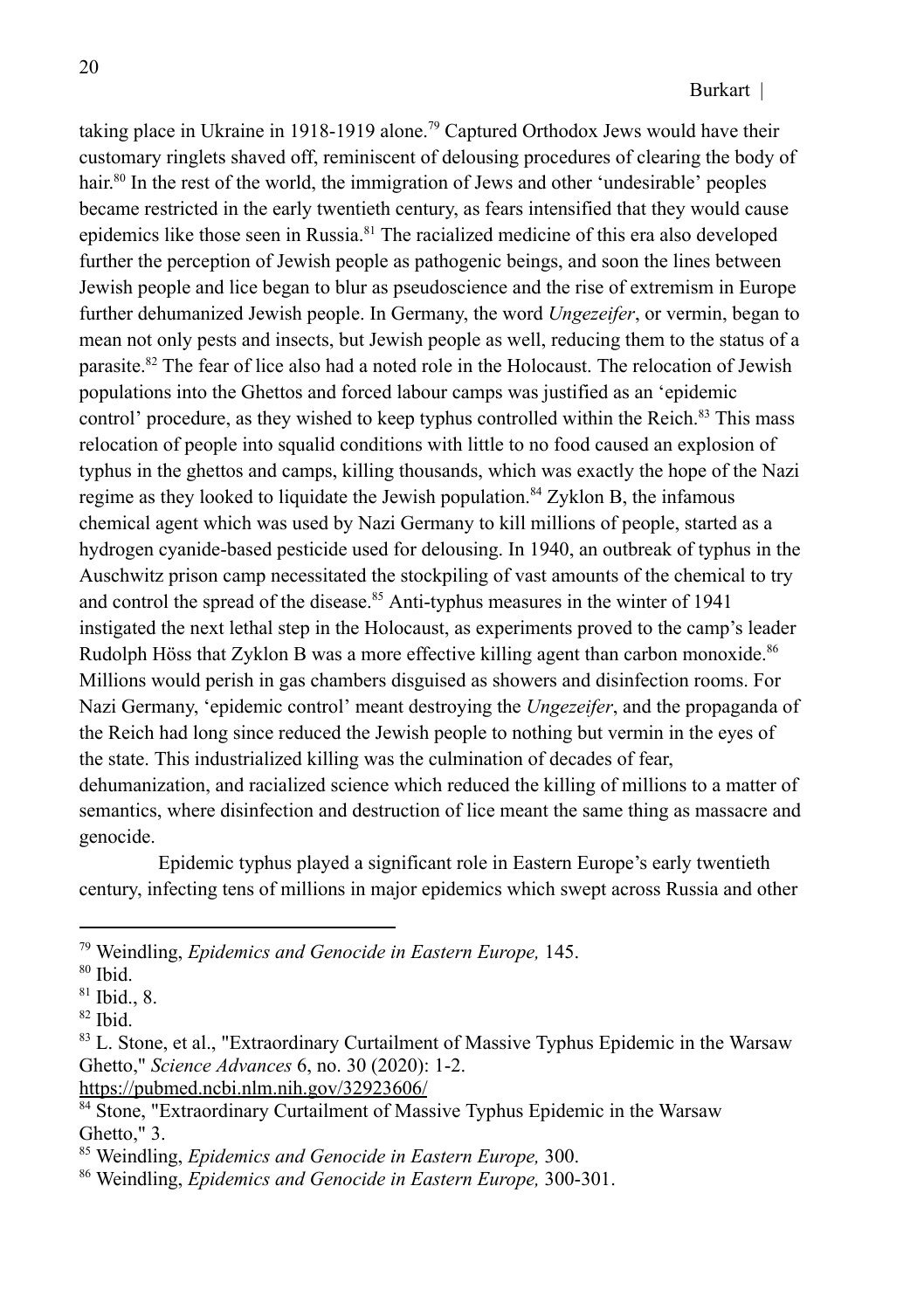taking place in Ukraine in 1918-1919 alone.<sup>79</sup> Captured Orthodox Jews would have their customary ringlets shaved off, reminiscent of delousing procedures of clearing the body of hair. 80 In the rest of the world, the immigration of Jews and other 'undesirable' peoples became restricted in the early twentieth century, as fears intensified that they would cause epidemics like those seen in Russia.<sup>81</sup> The racialized medicine of this era also developed further the perception of Jewish people as pathogenic beings, and soon the lines between Jewish people and lice began to blur as pseudoscience and the rise of extremism in Europe further dehumanized Jewish people. In Germany, the word *Ungezeifer*, or vermin, began to mean not only pests and insects, but Jewish people as well, reducing them to the status of a parasite.<sup>82</sup> The fear of lice also had a noted role in the Holocaust. The relocation of Jewish populations into the Ghettos and forced labour camps was justified as an 'epidemic control' procedure, as they wished to keep typhus controlled within the Reich.<sup>83</sup> This mass relocation of people into squalid conditions with little to no food caused an explosion of typhus in the ghettos and camps, killing thousands, which was exactly the hope of the Nazi regime as they looked to liquidate the Jewish population.<sup>84</sup> Zyklon B, the infamous chemical agent which was used by Nazi Germany to kill millions of people, started as a hydrogen cyanide-based pesticide used for delousing. In 1940, an outbreak of typhus in the Auschwitz prison camp necessitated the stockpiling of vast amounts of the chemical to try and control the spread of the disease.<sup>85</sup> Anti-typhus measures in the winter of 1941 instigated the next lethal step in the Holocaust, as experiments proved to the camp's leader Rudolph Höss that Zyklon B was a more effective killing agent than carbon monoxide.<sup>86</sup> Millions would perish in gas chambers disguised as showers and disinfection rooms. For Nazi Germany, 'epidemic control' meant destroying the *Ungezeifer*, and the propaganda of the Reich had long since reduced the Jewish people to nothing but vermin in the eyes of the state. This industrialized killing was the culmination of decades of fear, dehumanization, and racialized science which reduced the killing of millions to a matter of semantics, where disinfection and destruction of lice meant the same thing as massacre and genocide.

Epidemic typhus played a significant role in Eastern Europe's early twentieth century, infecting tens of millions in major epidemics which swept across Russia and other

https://pubmed.ncbi.nlm.nih.gov/32923606/

<sup>79</sup> Weindling, *Epidemics and Genocide in Eastern Europe,* 145.

<sup>80</sup> Ibid.

 $81$  Ibid., 8.

<sup>82</sup> Ibid.

<sup>83</sup> L. Stone, et al., "Extraordinary Curtailment of Massive Typhus Epidemic in the Warsaw Ghetto," *Science Advances* 6, no. 30 (2020): 1-2.

<sup>&</sup>lt;sup>84</sup> Stone, "Extraordinary Curtailment of Massive Typhus Epidemic in the Warsaw Ghetto," 3.

<sup>85</sup> Weindling, *Epidemics and Genocide in Eastern Europe,* 300.

<sup>86</sup> Weindling, *Epidemics and Genocide in Eastern Europe,* 300-301.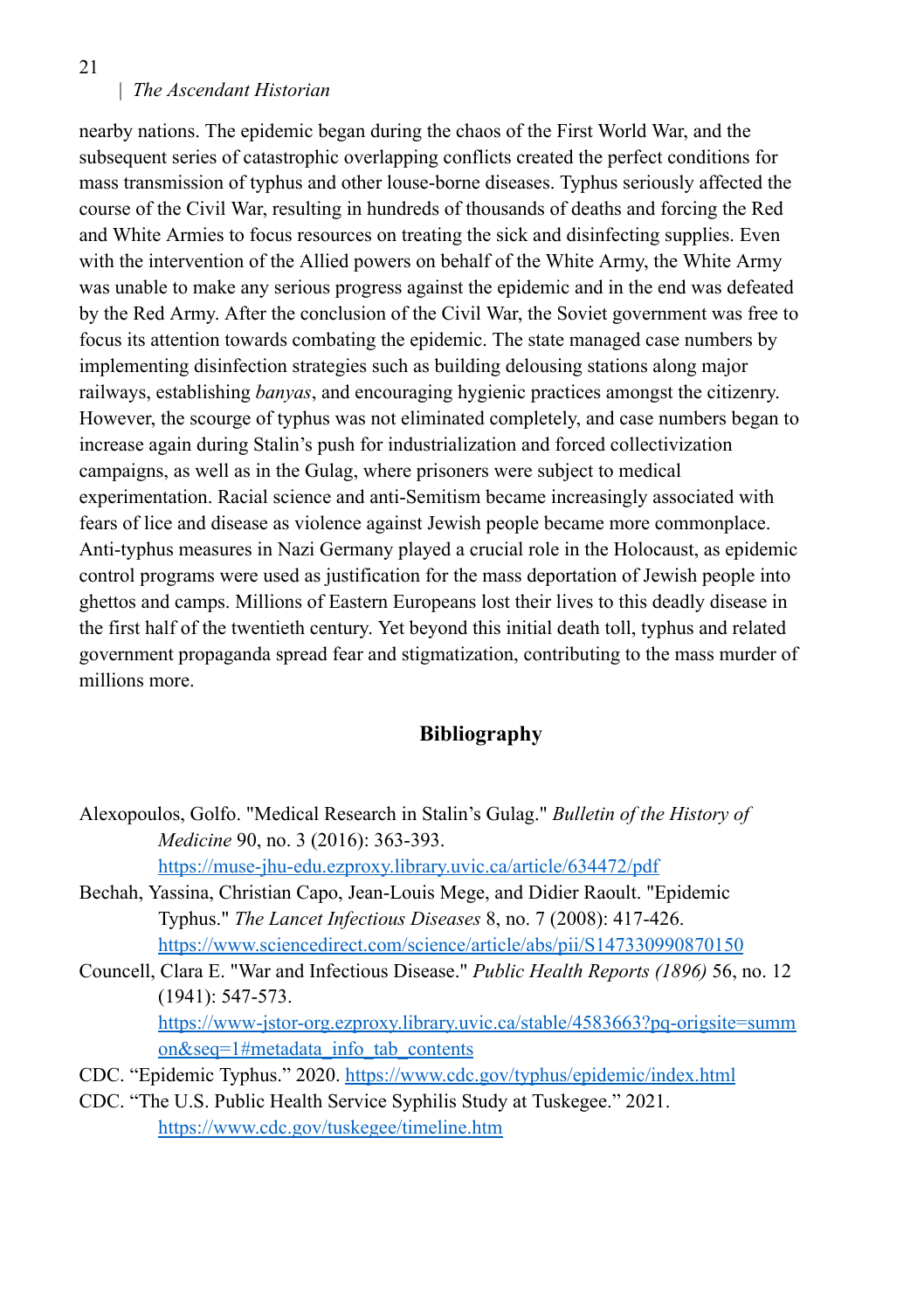21

## | *The Ascendant Historian*

nearby nations. The epidemic began during the chaos of the First World War, and the subsequent series of catastrophic overlapping conflicts created the perfect conditions for mass transmission of typhus and other louse-borne diseases. Typhus seriously affected the course of the Civil War, resulting in hundreds of thousands of deaths and forcing the Red and White Armies to focus resources on treating the sick and disinfecting supplies. Even with the intervention of the Allied powers on behalf of the White Army, the White Army was unable to make any serious progress against the epidemic and in the end was defeated by the Red Army. After the conclusion of the Civil War, the Soviet government was free to focus its attention towards combating the epidemic. The state managed case numbers by implementing disinfection strategies such as building delousing stations along major railways, establishing *banyas*, and encouraging hygienic practices amongst the citizenry. However, the scourge of typhus was not eliminated completely, and case numbers began to increase again during Stalin's push for industrialization and forced collectivization campaigns, as well as in the Gulag, where prisoners were subject to medical experimentation. Racial science and anti-Semitism became increasingly associated with fears of lice and disease as violence against Jewish people became more commonplace. Anti-typhus measures in Nazi Germany played a crucial role in the Holocaust, as epidemic control programs were used as justification for the mass deportation of Jewish people into ghettos and camps. Millions of Eastern Europeans lost their lives to this deadly disease in the first half of the twentieth century. Yet beyond this initial death toll, typhus and related government propaganda spread fear and stigmatization, contributing to the mass murder of millions more.

## **Bibliography**

- Alexopoulos, Golfo. "Medical Research in Stalin's Gulag." *Bulletin of the History of Medicine* 90, no. 3 (2016): 363-393. https://muse-jhu-edu.ezproxy.library.uvic.ca/article/634472/pdf
- Bechah, Yassina, Christian Capo, Jean-Louis Mege, and Didier Raoult. "Epidemic Typhus." *The Lancet Infectious Diseases* 8, no. 7 (2008): 417-426. https://www.sciencedirect.com/science/article/abs/pii/S147330990870150
- Councell, Clara E. "War and Infectious Disease." *Public Health Reports (1896)* 56, no. 12 (1941): 547-573. https://www-jstor-org.ezproxy.library.uvic.ca/stable/4583663?pq-origsite=summ on&seq=1#metadata\_info\_tab\_contents
- CDC. "Epidemic Typhus." 2020. https://www.cdc.gov/typhus/epidemic/index.html
- CDC. "The U.S. Public Health Service Syphilis Study at Tuskegee." 2021. https://www.cdc.gov/tuskegee/timeline.htm